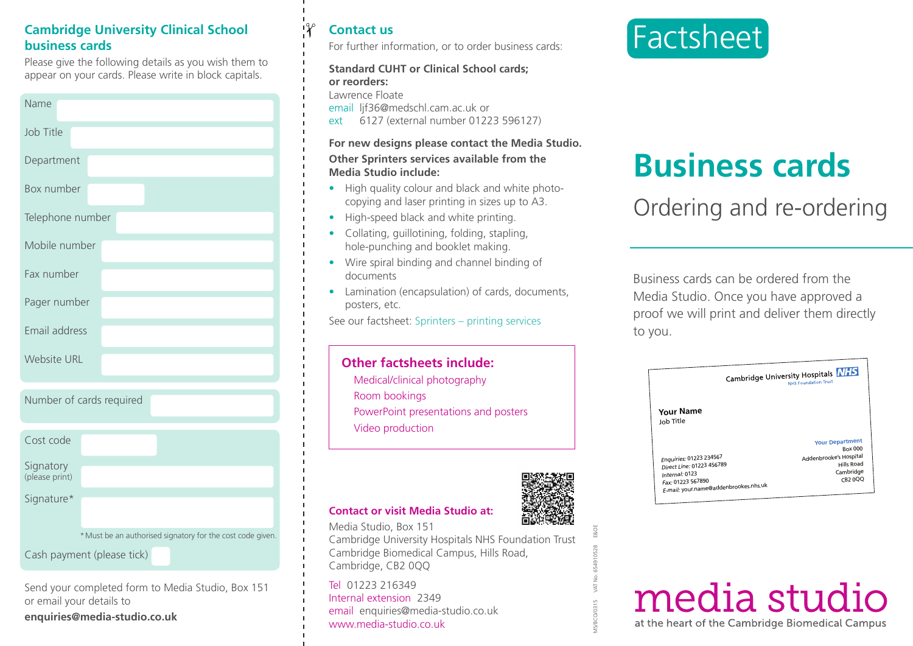### **Cambridge University Clinical School business cards**

Please give the following details as you wish them to appear on your cards. Please write in block capitals.

| Name               |
|--------------------|
| Job Title          |
| Department         |
| Box number         |
| Telephone number   |
| Mobile number      |
| Fax number         |
| Pager number       |
| Email address      |
| <b>Website URL</b> |

|  |  |  | Number of cards required |
|--|--|--|--------------------------|
|--|--|--|--------------------------|

| Cost code                   |                                                            |  |  |
|-----------------------------|------------------------------------------------------------|--|--|
| Signatory<br>(please print) |                                                            |  |  |
| Signature*                  |                                                            |  |  |
|                             | * Must be an authorised signatory for the cost code given. |  |  |
| Cash payment (please tick)  |                                                            |  |  |

Send your completed form to Media Studio, Box 151 or email your details to

**enquiries@media-studio.co.uk**

# **Contact us**

✁

For further information, or to order business cards:

#### **Standard CUHT or Clinical School cards; or reorders:**

Lawrence Floate

email lif36@medschl.cam.ac.uk or

ext 6127 (external number 01223 596127)

#### **For new designs please contact the Media Studio.**

#### **Other Sprinters services available from the Media Studio include:**

- **•** High quality colour and black and white photocopying and laser printing in sizes up to A3.
- High-speed black and white printing.
- Collating, guillotining, folding, stapling, hole-punching and booklet making.
- Wire spiral binding and channel binding of documents
- Lamination (encapsulation) of cards, documents, posters, etc.

See our factsheet: Sprinters – printing services

# **Other factsheets include:**

Medical/clinical photography Room bookings PowerPoint presentations and posters Video production



MS/BCO/0315 VAT No. 654910528 E&OE

#### **Contact or visit Media Studio at:**

Media Studio, Box 151 Cambridge University Hospitals NHS Foundation Trust Cambridge Biomedical Campus, Hills Road, Cambridge, CB2 0QQ

Tel 01223 216349 Internal extension 2349 email enquiries@media-studio.co.uk www.media-studio.co.uk



# **Business cards**

# Ordering and re-ordering

Business cards can be ordered from the Media Studio. Once you have approved a proof we will print and deliver them directly to you.

|                                                                                                                                      | Cambridge University Hospitals NHS<br><b>NHS Foundation Trust</b> |
|--------------------------------------------------------------------------------------------------------------------------------------|-------------------------------------------------------------------|
| Your Name<br>Job Title                                                                                                               |                                                                   |
|                                                                                                                                      | <b>Your Department</b><br><b>Box 000</b>                          |
| Enquiries: 01223 234567<br>Direct Line: 01223 456789<br>Internal: 0123<br>Fax: 01223 567890<br>E-mail: your.name@addenbrookes.nhs.uk | Addenbrooke's Hospital<br>Hills Road<br>Cambridge<br>CB2 0QQ      |